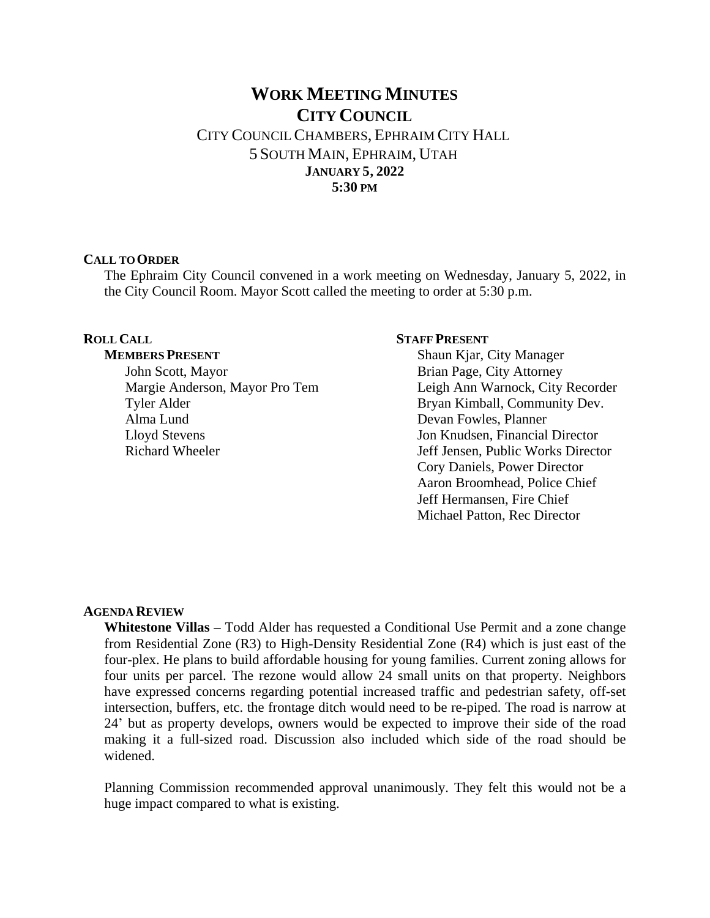# **WORK MEETING MINUTES CITY COUNCIL** CITY COUNCIL CHAMBERS, EPHRAIM CITY HALL 5 SOUTH MAIN, EPHRAIM, UTAH **JANUARY 5, 2022 5:30 PM**

#### **CALL TO ORDER**

The Ephraim City Council convened in a work meeting on Wednesday, January 5, 2022, in the City Council Room. Mayor Scott called the meeting to order at 5:30 p.m.

# **ROLL CALL**

#### **MEMBERS PRESENT**

John Scott, Mayor Margie Anderson, Mayor Pro Tem Tyler Alder Alma Lund Lloyd Stevens Richard Wheeler

#### **STAFF PRESENT**

Shaun Kjar, City Manager Brian Page, City Attorney Leigh Ann Warnock, City Recorder Bryan Kimball, Community Dev. Devan Fowles, Planner Jon Knudsen, Financial Director Jeff Jensen, Public Works Director Cory Daniels, Power Director Aaron Broomhead, Police Chief Jeff Hermansen, Fire Chief Michael Patton, Rec Director

# **AGENDA REVIEW**

**Whitestone Villas –** Todd Alder has requested a Conditional Use Permit and a zone change from Residential Zone (R3) to High-Density Residential Zone (R4) which is just east of the four-plex. He plans to build affordable housing for young families. Current zoning allows for four units per parcel. The rezone would allow 24 small units on that property. Neighbors have expressed concerns regarding potential increased traffic and pedestrian safety, off-set intersection, buffers, etc. the frontage ditch would need to be re-piped. The road is narrow at 24' but as property develops, owners would be expected to improve their side of the road making it a full-sized road. Discussion also included which side of the road should be widened.

Planning Commission recommended approval unanimously. They felt this would not be a huge impact compared to what is existing.